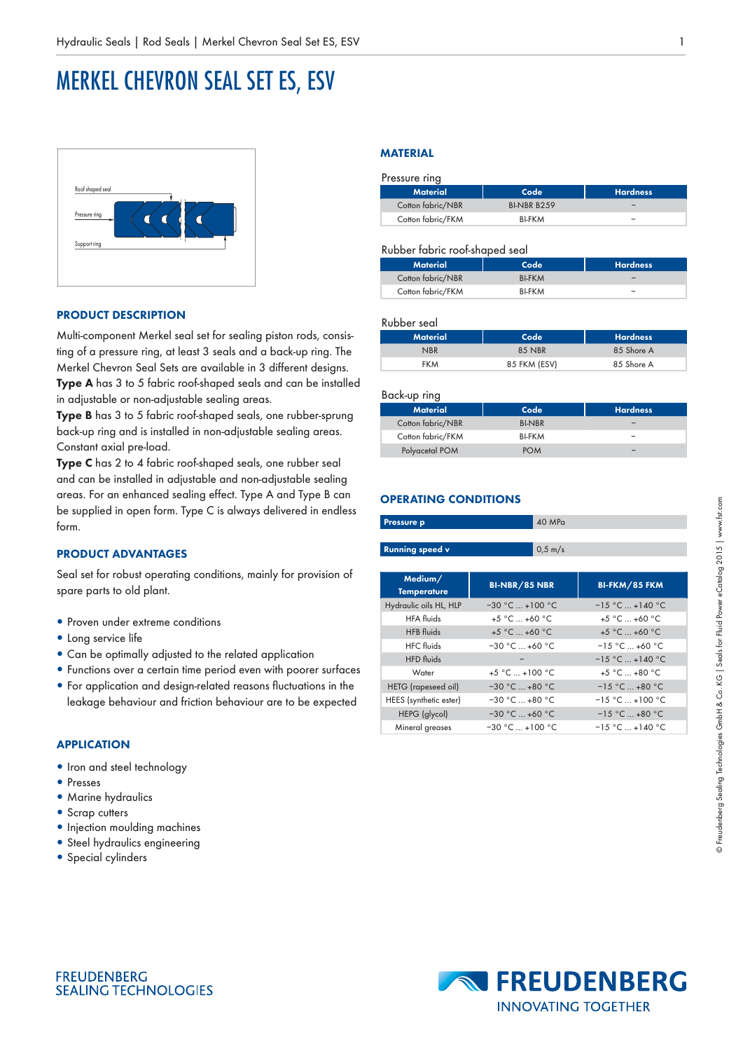# MERKEL CHEVRON SEAL SET ES, ESV



## **PRODUCT DESCRIPTION**

Multi-component Merkel seal set for sealing piston rods, consisting of a pressure ring, at least 3 seals and a back-up ring. The Merkel Chevron Seal Sets are available in 3 different designs. **Type A** has 3 to 5 fabric roof-shaped seals and can be installed in adjustable or non-adjustable sealing areas.

**Type B** has 3 to 5 fabric roof-shaped seals, one rubber-sprung back-up ring and is installed in non-adjustable sealing areas. Constant axial pre-load.

**Type C** has 2 to 4 fabric roof-shaped seals, one rubber seal and can be installed in adjustable and non-adjustable sealing areas. For an enhanced sealing effect. Type A and Type B can be supplied in open form. Type C is always delivered in endless form.

## **PRODUCT ADVANTAGES**

Seal set for robust operating conditions, mainly for provision of spare parts to old plant.

- Proven under extreme conditions
- Long service life
- Can be optimally adjusted to the related application
- Functions over a certain time period even with poorer surfaces • For application and design-related reasons fluctuations in the leakage behaviour and friction behaviour are to be expected

#### **APPLICATION**

- Iron and steel technology
- Presses
- Marine hydraulics
- Scrap cutters
- Injection moulding machines
- Steel hydraulics engineering

**SEALING TECHNOLOGIES** 

• Special cylinders

**FREUDENBERG** 

#### **MATERIAL**

| Pressure ring     |                    |                 |
|-------------------|--------------------|-----------------|
| <b>Material</b>   | Code               | <b>Hardness</b> |
| Cotton fabric/NBR | <b>BI-NBR B259</b> |                 |
| Cotton fabric/FKM | <b>BI-FKM</b>      |                 |

#### Rubber fabric roof-shaped seal

| Material          | Code <sup>'</sup> | <b>Hardness</b> |
|-------------------|-------------------|-----------------|
| Cotton fabric/NBR | <b>BI-FKM</b>     |                 |
| Cotton fabric/FKM | <b>BI-FKM</b>     | -               |

## Rubber seal

| Material   | Code         | <b>Hardness</b> |
|------------|--------------|-----------------|
| <b>NBR</b> | 85 NBR       | 85 Shore A      |
| <b>FKM</b> | 85 FKM (ESV) | 85 Shore A      |

#### Back-up ring

| ີ                 |               |                 |
|-------------------|---------------|-----------------|
| <b>Material</b>   | Code          | <b>Hardness</b> |
| Cotton fabric/NBR | <b>BI-NBR</b> | -               |
| Cotton fabric/FKM | <b>BI-FKM</b> | -               |
| Polyacetal POM    | <b>POM</b>    |                 |

## **OPERATING CONDITIONS**

| Pressure p             | 40 MPa               |                    |
|------------------------|----------------------|--------------------|
|                        |                      |                    |
| <b>Running speed v</b> | $0.5 \; \text{m/s}$  |                    |
|                        |                      |                    |
| Medium/                | <b>BI-NBR/85 NBR</b> | BI-FKM/85 FKM      |
| <b>Temperature</b>     |                      |                    |
| Hydraulic oils HL, HLP | $-30$ °C $+100$ °C   | $-15$ °C $+140$ °C |
| <b>HFA</b> fluids      | $+5$ °C  +60 °C      | $+5$ °C  +60 °C    |
| <b>HFB</b> fluids      | $+5$ °C $+60$ °C     | $+5 °C  +60 °C$    |
| <b>HFC</b> fluids      | $-30 °C  +60 °C$     | $-15$ °C $+60$ °C  |
| <b>HFD</b> fluids      |                      | $-15$ °C $+140$ °C |
| Water                  | $+5 °C  +100 °C$     | $+5 °C  +80 °C$    |
| HETG (rapeseed oil)    | $-30 °C  +80 °C$     | $-15$ °C $+80$ °C  |
| HEES (synthetic ester) | $-30 °C  +80 °C$     | $-15$ °C $+100$ °C |
| HEPG (glycol)          | $-30 °C  +60 °C$     | $-15$ °C $+80$ °C  |
| Mineral greases        | $-30 °C  +100 °C$    | $-15$ °C $+140$ °C |